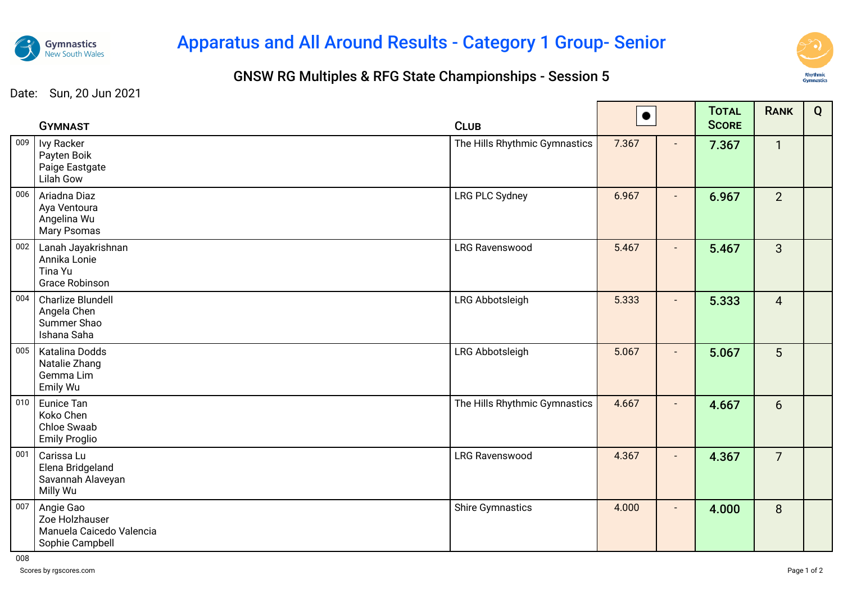

## Apparatus and All Around Results - Category 1 Group- Senior

## GNSW RG Multiples & RFG State Championships - Session 5



Date: Sun, 20 Jun 2021

|     | <b>GYMNAST</b>                                                             | <b>CLUB</b>                   | $\bullet$ |                          | <b>TOTAL</b><br><b>SCORE</b> | <b>RANK</b>    | Q |
|-----|----------------------------------------------------------------------------|-------------------------------|-----------|--------------------------|------------------------------|----------------|---|
| 009 | Ivy Racker<br>Payten Boik<br>Paige Eastgate<br><b>Lilah Gow</b>            | The Hills Rhythmic Gymnastics | 7.367     | $\blacksquare$           | 7.367                        | $\mathbf{1}$   |   |
| 006 | Ariadna Diaz<br>Aya Ventoura<br>Angelina Wu<br>Mary Psomas                 | <b>LRG PLC Sydney</b>         | 6.967     |                          | 6.967                        | 2 <sup>1</sup> |   |
| 002 | Lanah Jayakrishnan<br>Annika Lonie<br>Tina Yu<br><b>Grace Robinson</b>     | <b>LRG Ravenswood</b>         | 5.467     | $\blacksquare$           | 5.467                        | $\mathbf{3}$   |   |
| 004 | Charlize Blundell<br>Angela Chen<br>Summer Shao<br>Ishana Saha             | LRG Abbotsleigh               | 5.333     | $\blacksquare$           | 5.333                        | $\overline{4}$ |   |
| 005 | Katalina Dodds<br>Natalie Zhang<br>Gemma Lim<br>Emily Wu                   | LRG Abbotsleigh               | 5.067     |                          | 5.067                        | 5              |   |
| 010 | Eunice Tan<br>Koko Chen<br>Chloe Swaab<br><b>Emily Proglio</b>             | The Hills Rhythmic Gymnastics | 4.667     | $\blacksquare$           | 4.667                        | 6              |   |
| 001 | Carissa Lu<br>Elena Bridgeland<br>Savannah Alaveyan<br>Milly Wu            | <b>LRG Ravenswood</b>         | 4.367     | $\overline{\phantom{a}}$ | 4.367                        | $\overline{7}$ |   |
| 007 | Angie Gao<br>Zoe Holzhauser<br>Manuela Caicedo Valencia<br>Sophie Campbell | <b>Shire Gymnastics</b>       | 4.000     | $\overline{\phantom{a}}$ | 4.000                        | 8              |   |

008